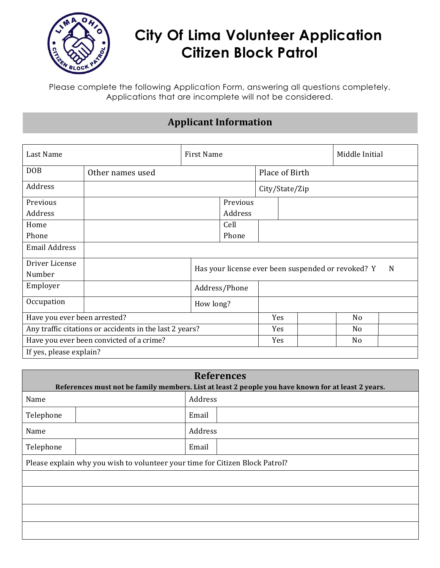

# **City Of Lima Volunteer Application Citizen Block Patrol**

Please complete the following Application Form, answering all questions completely. Applications that are incomplete will not be considered.

## **Applicant Information**

| Last Name                                               |                                                                    | <b>First Name</b> |                |  | Middle Initial |  |  |
|---------------------------------------------------------|--------------------------------------------------------------------|-------------------|----------------|--|----------------|--|--|
| <b>DOB</b>                                              | Other names used                                                   |                   | Place of Birth |  |                |  |  |
| Address                                                 |                                                                    |                   | City/State/Zip |  |                |  |  |
| Previous                                                |                                                                    |                   | Previous       |  |                |  |  |
| Address                                                 |                                                                    |                   | Address        |  |                |  |  |
| Home                                                    |                                                                    |                   | Cell           |  |                |  |  |
| Phone                                                   |                                                                    |                   | Phone          |  |                |  |  |
| <b>Email Address</b>                                    |                                                                    |                   |                |  |                |  |  |
| Driver License<br>Number                                | Has your license ever been suspended or revoked? Y<br><sup>N</sup> |                   |                |  |                |  |  |
| Employer                                                |                                                                    | Address/Phone     |                |  |                |  |  |
| Occupation                                              | How long?                                                          |                   |                |  |                |  |  |
| Have you ever been arrested?                            |                                                                    |                   | Yes            |  | N <sub>o</sub> |  |  |
| Any traffic citations or accidents in the last 2 years? |                                                                    |                   | Yes            |  | No             |  |  |
| Have you ever been convicted of a crime?                |                                                                    |                   | Yes            |  | N <sub>o</sub> |  |  |
| If yes, please explain?                                 |                                                                    |                   |                |  |                |  |  |

| <b>References</b><br>References must not be family members. List at least 2 people you have known for at least 2 years. |         |  |  |  |  |  |
|-------------------------------------------------------------------------------------------------------------------------|---------|--|--|--|--|--|
| Name                                                                                                                    | Address |  |  |  |  |  |
| Telephone                                                                                                               | Email   |  |  |  |  |  |
| Name                                                                                                                    | Address |  |  |  |  |  |
| Telephone                                                                                                               | Email   |  |  |  |  |  |
| Please explain why you wish to volunteer your time for Citizen Block Patrol?                                            |         |  |  |  |  |  |
|                                                                                                                         |         |  |  |  |  |  |
|                                                                                                                         |         |  |  |  |  |  |
|                                                                                                                         |         |  |  |  |  |  |
|                                                                                                                         |         |  |  |  |  |  |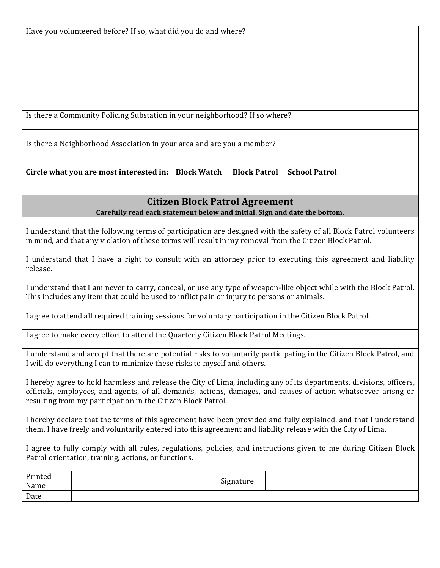Is there a Community Policing Substation in your neighborhood? If so where?

Is there a Neighborhood Association in your area and are you a member?

**Circle what you are most interested in: Block Watch Block Patrol School Patrol**

#### **Citizen Block Patrol Agreement**

**Carefully read each statement below and initial. Sign and date the bottom.**

I understand that the following terms of participation are designed with the safety of all Block Patrol volunteers in mind, and that any violation of these terms will result in my removal from the Citizen Block Patrol.

I understand that I have a right to consult with an attorney prior to executing this agreement and liability release.

I understand that I am never to carry, conceal, or use any type of weapon-like object while with the Block Patrol. This includes any item that could be used to inflict pain or injury to persons or animals.

I agree to attend all required training sessions for voluntary participation in the Citizen Block Patrol.

I agree to make every effort to attend the Quarterly Citizen Block Patrol Meetings.

I understand and accept that there are potential risks to voluntarily participating in the Citizen Block Patrol, and I will do everything I can to minimize these risks to myself and others.

I hereby agree to hold harmless and release the City of Lima, including any of its departments, divisions, officers, officials, employees, and agents, of all demands, actions, damages, and causes of action whatsoever arisng or resulting from my participation in the Citizen Block Patrol.

I hereby declare that the terms of this agreement have been provided and fully explained, and that I understand them. I have freely and voluntarily entered into this agreement and liability release with the City of Lima.

I agree to fully comply with all rules, regulations, policies, and instructions given to me during Citizen Block Patrol orientation, training, actions, or functions.

| Printed<br>Name | Signature |  |
|-----------------|-----------|--|
| Date            |           |  |